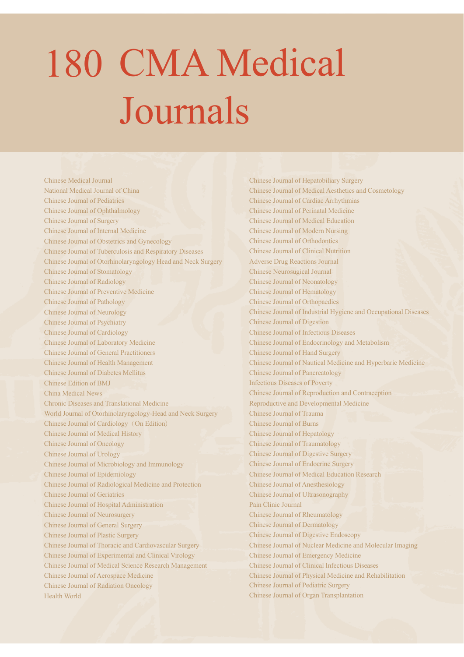## 180 CMA Medical Journals

**Chinese Medical Journal** National Medical Journal of China **Chinese Journal of Pediatrics** Chinese Journal of Ophthalmology Chinese Journal of Surgery Chinese Journal of Internal Medicine Chinese Journal of Obstetrics and Gynecology Chinese Journal of Tuberculosis and Respiratory Diseases Chinese Journal of Otorhinolaryngology Head and Neck Surgery **Chinese Journal of Stomatology Chinese Journal of Radiology** Chinese Journal of Preventive Medicine **Chinese Journal of Pathology Chinese Journal of Neurology Chinese Journal of Psychiatry Chinese Journal of Cardiology** Chinese Journal of Laboratory Medicine **Chinese Journal of General Practitioners** Chinese Journal of Health Management **Chinese Journal of Diabetes Mellitus** Chinese Edition of BMJ China Medical News Chronic Diseases and Translational Medicine World Journal of Otorhinolaryngology-Head and Neck Surgery Chinese Journal of Cardiology (On Edition) Chinese Journal of Medical History Chinese Journal of Oncology Chinese Journal of Urology Chinese Journal of Microbiology and Immunology Chinese Journal of Epidemiology Chinese Journal of Radiological Medicine and Protection **Chinese Journal of Geriatrics** Chinese Journal of Hospital Administration Chinese Journal of Neurosurgery Chinese Journal of General Surgery Chinese Journal of Plastic Surgery Chinese Journal of Thoracic and Cardiovascular Surgery Chinese Journal of Experimental and Clinical Virology Chinese Journal of Medical Science Research Management Chinese Journal of Aerospace Medicine Chinese Journal of Radiation Oncology Health World

Chinese Journal of Hepatobiliary Surgery Chinese Journal of Medical Aesthetics and Cosmetology Chinese Journal of Cardiac Arrhythmias **Chinese Journal of Perinatal Medicine** Chinese Journal of Medical Education **Chinese Journal of Modern Nursing** Chinese Journal of Orthodontics Chinese Journal of Clinical Nutrition **Adverse Drug Reactions Journal Chinese Neurosugical Journal Chinese Journal of Neonatology** Chinese Journal of Hematology **Chinese Journal of Orthopaedics** Chinese Journal of Industrial Hygiene and Occupational Diseases **Chinese Journal of Digestion** Chinese Journal of Infectious Diseases Chinese Journal of Endocrinology and Metabolism Chinese Journal of Hand Surgery Chinese Journal of Nautical Medicine and Hyperbaric Medicine Chinese Journal of Pancreatology **Infectious Diseases of Poverty** Chinese Journal of Reproduction and Contraception Reproductive and Developmental Medicine Chinese Journal of Trauma **Chinese Journal of Burns** Chinese Journal of Hepatology **Chinese Journal of Traumatology Chinese Journal of Digestive Surgery** Chinese Journal of Endocrine Surgery Chinese Journal of Medical Education Research Chinese Journal of Anesthesiology Chinese Journal of Ultrasonography Pain Clinic Journal Chinese Journal of Rheumatology **Chinese Journal of Dermatology Chinese Journal of Digestive Endoscopy** Chinese Journal of Nuclear Medicine and Molecular Imaging Chinese Journal of Emergency Medicine Chinese Journal of Clinical Infectious Diseases Chinese Journal of Physical Medicine and Rehabilitation Chinese Journal of Pediatric Surgery Chinese Journal of Organ Transplantation